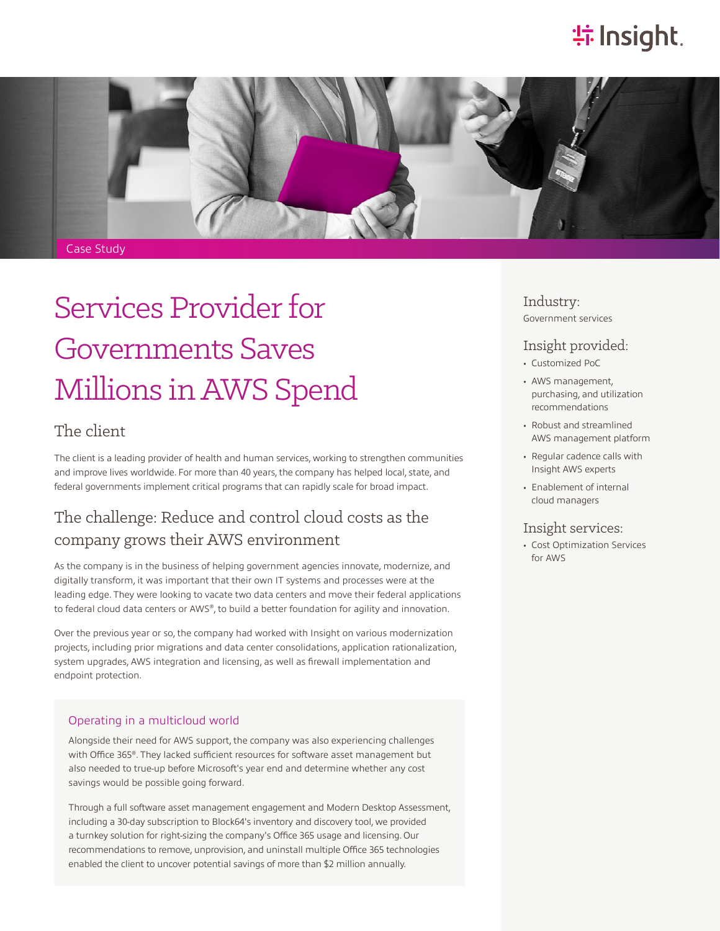## **特Insight**.



# Services Provider for Governments Saves Millions in AWS Spend

### The client

The client is a leading provider of health and human services, working to strengthen communities and improve lives worldwide. For more than 40 years, the company has helped local, state, and federal governments implement critical programs that can rapidly scale for broad impact.

### The challenge: Reduce and control cloud costs as the company grows their AWS environment

As the company is in the business of helping government agencies innovate, modernize, and digitally transform, it was important that their own IT systems and processes were at the leading edge. They were looking to vacate two data centers and move their federal applications to federal cloud data centers or AWS®, to build a better foundation for agility and innovation.

Over the previous year or so, the company had worked with Insight on various modernization projects, including prior migrations and data center consolidations, application rationalization, system upgrades, AWS integration and licensing, as well as firewall implementation and endpoint protection.

#### Operating in a multicloud world

Alongside their need for AWS support, the company was also experiencing challenges with Office 365®. They lacked sufficient resources for software asset management but also needed to true-up before Microsoft's year end and determine whether any cost savings would be possible going forward.

Through a full software asset management engagement and Modern Desktop Assessment, including a 30-day subscription to Block64's inventory and discovery tool, we provided a turnkey solution for right-sizing the company's Office 365 usage and licensing. Our recommendations to remove, unprovision, and uninstall multiple Office 365 technologies enabled the client to uncover potential savings of more than \$2 million annually.

Industry: Government services

### Insight provided:

- Customized PoC
- AWS management, purchasing, and utilization recommendations
- Robust and streamlined AWS management platform
- Regular cadence calls with Insight AWS experts
- Enablement of internal cloud managers

#### Insight services:

• Cost Optimization Services for AWS